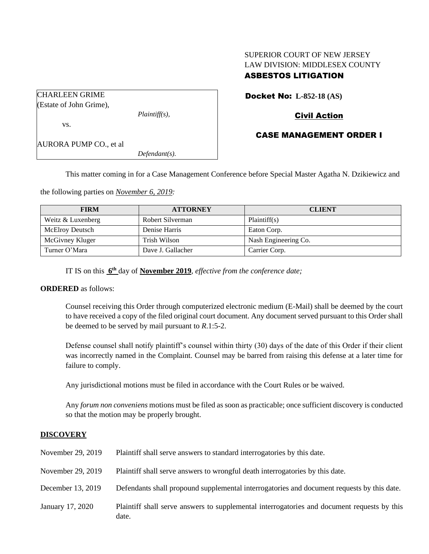# SUPERIOR COURT OF NEW JERSEY LAW DIVISION: MIDDLESEX COUNTY ASBESTOS LITIGATION

| <b>CHARLEEN GRIME</b>         |                  |  |
|-------------------------------|------------------|--|
| (Estate of John Grime),       |                  |  |
|                               | $Plaintiff(s)$ , |  |
| VS.                           |                  |  |
| <b>AURORA PUMP CO., et al</b> |                  |  |
|                               | $Defendant(s)$ . |  |

Docket No: **L-852-18 (AS)**

## Civil Action

# CASE MANAGEMENT ORDER I

This matter coming in for a Case Management Conference before Special Master Agatha N. Dzikiewicz and

the following parties on *November 6, 2019:*

| <b>FIRM</b>            | <b>ATTORNEY</b>   | <b>CLIENT</b>        |
|------------------------|-------------------|----------------------|
| Weitz & Luxenberg      | Robert Silverman  | Plaintiff(s)         |
| <b>McElroy Deutsch</b> | Denise Harris     | Eaton Corp.          |
| McGivney Kluger        | Trish Wilson      | Nash Engineering Co. |
| Turner O'Mara          | Dave J. Gallacher | Carrier Corp.        |

IT IS on this **6 th** day of **November 2019**, *effective from the conference date;*

#### **ORDERED** as follows:

Counsel receiving this Order through computerized electronic medium (E-Mail) shall be deemed by the court to have received a copy of the filed original court document. Any document served pursuant to this Order shall be deemed to be served by mail pursuant to *R*.1:5-2.

Defense counsel shall notify plaintiff's counsel within thirty (30) days of the date of this Order if their client was incorrectly named in the Complaint. Counsel may be barred from raising this defense at a later time for failure to comply.

Any jurisdictional motions must be filed in accordance with the Court Rules or be waived.

Any *forum non conveniens* motions must be filed as soon as practicable; once sufficient discovery is conducted so that the motion may be properly brought.

## **DISCOVERY**

| November 29, 2019 | Plaintiff shall serve answers to standard interrogatories by this date.                              |
|-------------------|------------------------------------------------------------------------------------------------------|
| November 29, 2019 | Plaintiff shall serve answers to wrongful death interrogatories by this date.                        |
| December 13, 2019 | Defendants shall propound supplemental interrogatories and document requests by this date.           |
| January 17, 2020  | Plaintiff shall serve answers to supplemental interrogatories and document requests by this<br>date. |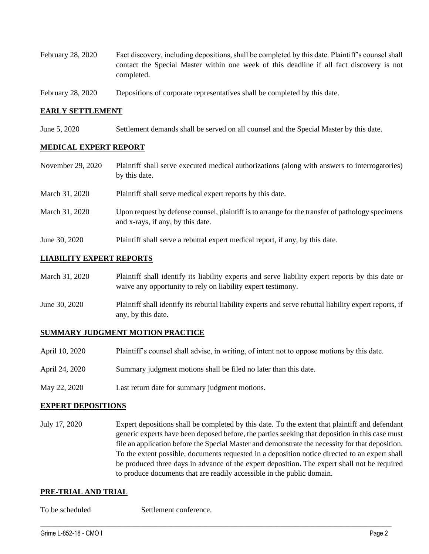- February 28, 2020 Fact discovery, including depositions, shall be completed by this date. Plaintiff's counsel shall contact the Special Master within one week of this deadline if all fact discovery is not completed.
- February 28, 2020 Depositions of corporate representatives shall be completed by this date.

#### **EARLY SETTLEMENT**

June 5, 2020 Settlement demands shall be served on all counsel and the Special Master by this date.

#### **MEDICAL EXPERT REPORT**

- November 29, 2020 Plaintiff shall serve executed medical authorizations (along with answers to interrogatories) by this date.
- March 31, 2020 Plaint if shall serve medical expert reports by this date.
- March 31, 2020 Upon request by defense counsel, plaintiff is to arrange for the transfer of pathology specimens and x-rays, if any, by this date.
- June 30, 2020 Plaintiff shall serve a rebuttal expert medical report, if any, by this date.

#### **LIABILITY EXPERT REPORTS**

| March 31, 2020 | Plaintiff shall identify its liability experts and serve liability expert reports by this date or<br>waive any opportunity to rely on liability expert testimony. |
|----------------|-------------------------------------------------------------------------------------------------------------------------------------------------------------------|
| June 30, 2020  | Plaintiff shall identify its rebuttal liability experts and serve rebuttal liability expert reports, if<br>any, by this date.                                     |

#### **SUMMARY JUDGMENT MOTION PRACTICE**

| April 10, 2020 | Plaintiff's counsel shall advise, in writing, of intent not to oppose motions by this date. |
|----------------|---------------------------------------------------------------------------------------------|
| April 24, 2020 | Summary judgment motions shall be filed no later than this date.                            |

May 22, 2020 Last return date for summary judgment motions.

#### **EXPERT DEPOSITIONS**

July 17, 2020 Expert depositions shall be completed by this date. To the extent that plaintiff and defendant generic experts have been deposed before, the parties seeking that deposition in this case must file an application before the Special Master and demonstrate the necessity for that deposition. To the extent possible, documents requested in a deposition notice directed to an expert shall be produced three days in advance of the expert deposition. The expert shall not be required to produce documents that are readily accessible in the public domain.

 $\_$  , and the set of the set of the set of the set of the set of the set of the set of the set of the set of the set of the set of the set of the set of the set of the set of the set of the set of the set of the set of th

#### **PRE-TRIAL AND TRIAL**

To be scheduled Settlement conference.